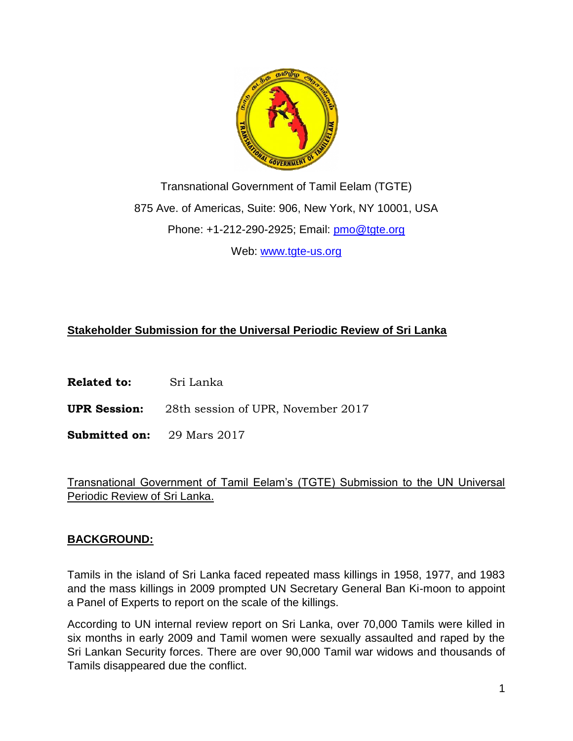

Transnational Government of Tamil Eelam (TGTE) 875 Ave. of Americas, Suite: 906, New York, NY 10001, USA Phone: +1-212-290-2925; Email: [pmo@tgte.org](mailto:pmo@tgte.org) Web: [www.tgte-us.org](http://www.tgte-us.org/)

#### **Stakeholder Submission for the Universal Periodic Review of Sri Lanka**

**Related to:** Sri Lanka

**UPR Session:** 28th session of UPR, November 2017

**Submitted on:** 29 Mars 2017

Transnational Government of Tamil Eelam's (TGTE) Submission to the UN Universal Periodic Review of Sri Lanka.

#### **BACKGROUND:**

Tamils in the island of Sri Lanka faced repeated mass killings in 1958, 1977, and 1983 and the mass killings in 2009 prompted UN Secretary General Ban Ki-moon to appoint a Panel of Experts to report on the scale of the killings.

According to UN internal review report on Sri Lanka, over 70,000 Tamils were killed in six months in early 2009 and Tamil women were sexually assaulted and raped by the Sri Lankan Security forces. There are over 90,000 Tamil war widows and thousands of Tamils disappeared due the conflict.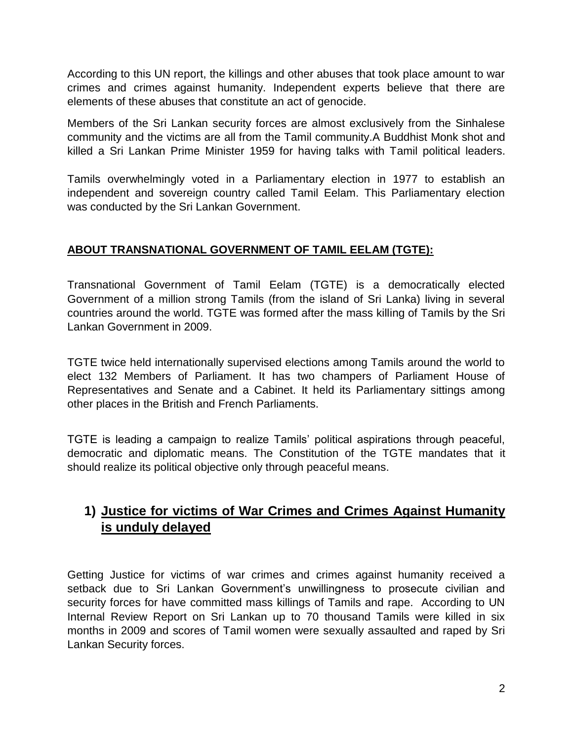According to this UN report, the killings and other abuses that took place amount to war crimes and crimes against humanity. Independent experts believe that there are elements of these abuses that constitute an act of genocide.

Members of the Sri Lankan security forces are almost exclusively from the Sinhalese community and the victims are all from the Tamil community.A Buddhist Monk shot and killed a Sri Lankan Prime Minister 1959 for having talks with Tamil political leaders.

Tamils overwhelmingly voted in a Parliamentary election in 1977 to establish an independent and sovereign country called Tamil Eelam. This Parliamentary election was conducted by the Sri Lankan Government.

#### **ABOUT TRANSNATIONAL GOVERNMENT OF TAMIL EELAM (TGTE):**

Transnational Government of Tamil Eelam (TGTE) is a democratically elected Government of a million strong Tamils (from the island of Sri Lanka) living in several countries around the world. TGTE was formed after the mass killing of Tamils by the Sri Lankan Government in 2009.

TGTE twice held internationally supervised elections among Tamils around the world to elect 132 Members of Parliament. It has two champers of Parliament House of Representatives and Senate and a Cabinet. It held its Parliamentary sittings among other places in the British and French Parliaments.

TGTE is leading a campaign to realize Tamils' political aspirations through peaceful, democratic and diplomatic means. The Constitution of the TGTE mandates that it should realize its political objective only through peaceful means.

# **1) Justice for victims of War Crimes and Crimes Against Humanity is unduly delayed**

Getting Justice for victims of war crimes and crimes against humanity received a setback due to Sri Lankan Government's unwillingness to prosecute civilian and security forces for have committed mass killings of Tamils and rape. According to UN Internal Review Report on Sri Lankan up to 70 thousand Tamils were killed in six months in 2009 and scores of Tamil women were sexually assaulted and raped by Sri Lankan Security forces.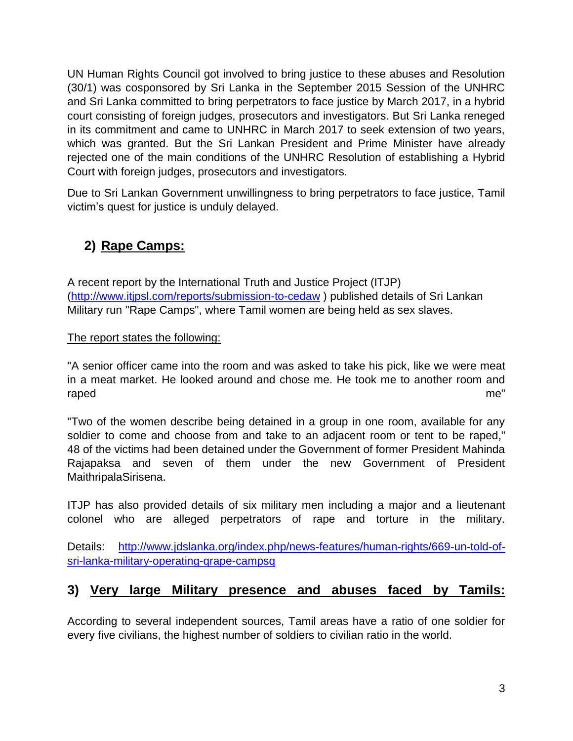UN Human Rights Council got involved to bring justice to these abuses and Resolution (30/1) was cosponsored by Sri Lanka in the September 2015 Session of the UNHRC and Sri Lanka committed to bring perpetrators to face justice by March 2017, in a hybrid court consisting of foreign judges, prosecutors and investigators. But Sri Lanka reneged in its commitment and came to UNHRC in March 2017 to seek extension of two years, which was granted. But the Sri Lankan President and Prime Minister have already rejected one of the main conditions of the UNHRC Resolution of establishing a Hybrid Court with foreign judges, prosecutors and investigators.

Due to Sri Lankan Government unwillingness to bring perpetrators to face justice, Tamil victim's quest for justice is unduly delayed.

# **2) Rape Camps:**

A recent report by the International Truth and Justice Project (ITJP) [\(http://www.itjpsl.com/reports/submission-to-cedaw](http://www.itjpsl.com/reports/submission-to-cedaw) ) published details of Sri Lankan Military run "Rape Camps", where Tamil women are being held as sex slaves.

#### The report states the following:

"A senior officer came into the room and was asked to take his pick, like we were meat in a meat market. He looked around and chose me. He took me to another room and raped me"

"Two of the women describe being detained in a group in one room, available for any soldier to come and choose from and take to an adjacent room or tent to be raped," 48 of the victims had been detained under the Government of former President Mahinda Rajapaksa and seven of them under the new Government of President MaithripalaSirisena.

ITJP has also provided details of six military men including a major and a lieutenant colonel who are alleged perpetrators of rape and torture in the military.

Details: [http://www.jdslanka.org/index.php/news-features/human-rights/669-un-told-of](http://www.jdslanka.org/index.php/news-features/human-rights/669-un-told-of-sri-lanka-military-operating-qrape-campsq)[sri-lanka-military-operating-qrape-campsq](http://www.jdslanka.org/index.php/news-features/human-rights/669-un-told-of-sri-lanka-military-operating-qrape-campsq)

### **3) Very large Military presence and abuses faced by Tamils:**

According to several independent sources, Tamil areas have a ratio of one soldier for every five civilians, the highest number of soldiers to civilian ratio in the world.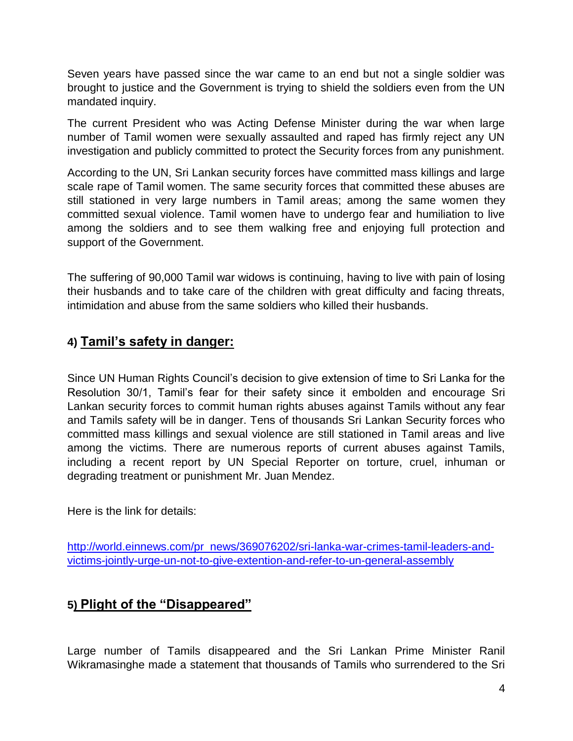Seven years have passed since the war came to an end but not a single soldier was brought to justice and the Government is trying to shield the soldiers even from the UN mandated inquiry.

The current President who was Acting Defense Minister during the war when large number of Tamil women were sexually assaulted and raped has firmly reject any UN investigation and publicly committed to protect the Security forces from any punishment.

According to the UN, Sri Lankan security forces have committed mass killings and large scale rape of Tamil women. The same security forces that committed these abuses are still stationed in very large numbers in Tamil areas; among the same women they committed sexual violence. Tamil women have to undergo fear and humiliation to live among the soldiers and to see them walking free and enjoying full protection and support of the Government.

The suffering of 90,000 Tamil war widows is continuing, having to live with pain of losing their husbands and to take care of the children with great difficulty and facing threats, intimidation and abuse from the same soldiers who killed their husbands.

### **4) Tamil's safety in danger:**

Since UN Human Rights Council's decision to give extension of time to Sri Lanka for the Resolution 30/1, Tamil's fear for their safety since it embolden and encourage Sri Lankan security forces to commit human rights abuses against Tamils without any fear and Tamils safety will be in danger. Tens of thousands Sri Lankan Security forces who committed mass killings and sexual violence are still stationed in Tamil areas and live among the victims. There are numerous reports of current abuses against Tamils, including a recent report by UN Special Reporter on torture, cruel, inhuman or degrading treatment or punishment Mr. Juan Mendez.

Here is the link for details:

[http://world.einnews.com/pr\\_news/369076202/sri-lanka-war-crimes-tamil-leaders-and](http://world.einnews.com/pr_news/369076202/sri-lanka-war-crimes-tamil-leaders-and-victims-jointly-urge-un-not-to-give-extention-and-refer-to-un-general-assembly)[victims-jointly-urge-un-not-to-give-extention-and-refer-to-un-general-assembly](http://world.einnews.com/pr_news/369076202/sri-lanka-war-crimes-tamil-leaders-and-victims-jointly-urge-un-not-to-give-extention-and-refer-to-un-general-assembly)

## **5) Plight of the "Disappeared"**

Large number of Tamils disappeared and the Sri Lankan Prime Minister Ranil Wikramasinghe made a statement that thousands of Tamils who surrendered to the Sri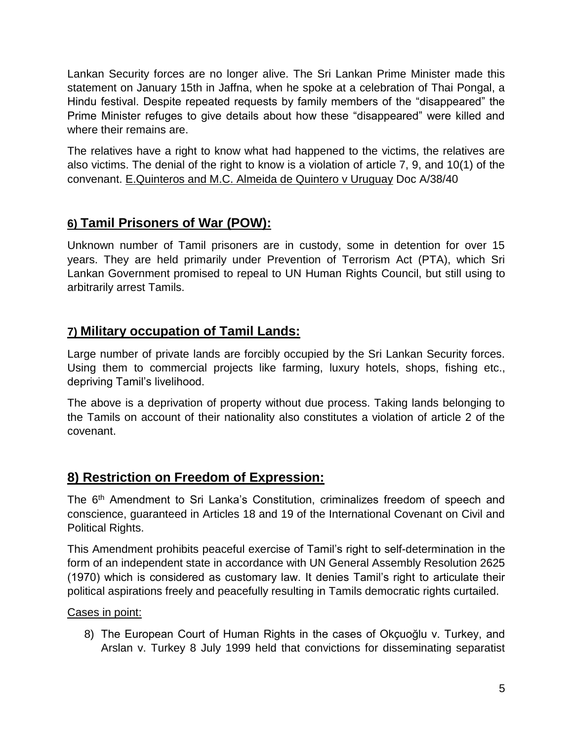Lankan Security forces are no longer alive. The Sri Lankan Prime Minister made this statement on January 15th in Jaffna, when he spoke at a celebration of Thai Pongal, a Hindu festival. Despite repeated requests by family members of the "disappeared" the Prime Minister refuges to give details about how these "disappeared" were killed and where their remains are.

The relatives have a right to know what had happened to the victims, the relatives are also victims. The denial of the right to know is a violation of article 7, 9, and 10(1) of the convenant. E.Quinteros and M.C. Almeida de Quintero v Uruguay Doc A/38/40

### **6) Tamil Prisoners of War (POW):**

Unknown number of Tamil prisoners are in custody, some in detention for over 15 years. They are held primarily under Prevention of Terrorism Act (PTA), which Sri Lankan Government promised to repeal to UN Human Rights Council, but still using to arbitrarily arrest Tamils.

### **7) Military occupation of Tamil Lands:**

Large number of private lands are forcibly occupied by the Sri Lankan Security forces. Using them to commercial projects like farming, luxury hotels, shops, fishing etc., depriving Tamil's livelihood.

The above is a deprivation of property without due process. Taking lands belonging to the Tamils on account of their nationality also constitutes a violation of article 2 of the covenant.

## **8) Restriction on Freedom of Expression:**

The 6<sup>th</sup> Amendment to Sri Lanka's Constitution, criminalizes freedom of speech and conscience, guaranteed in Articles 18 and 19 of the International Covenant on Civil and Political Rights.

This Amendment prohibits peaceful exercise of Tamil's right to self-determination in the form of an independent state in accordance with UN General Assembly Resolution 2625 (1970) which is considered as customary law. It denies Tamil's right to articulate their political aspirations freely and peacefully resulting in Tamils democratic rights curtailed.

Cases in point:

8) The European Court of Human Rights in the cases of Okçuoğlu v. Turkey, and Arslan v. Turkey 8 July 1999 held that convictions for disseminating separatist